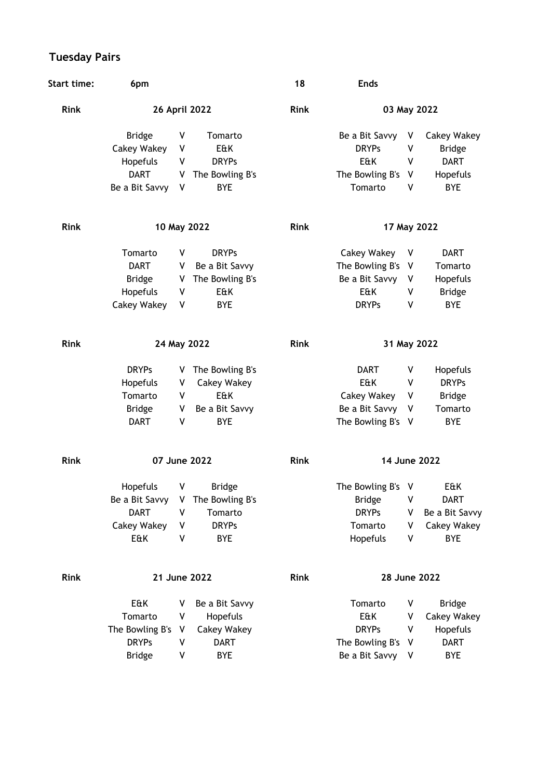## **Tuesday Pairs**

| <b>Start time:</b> | 6pm                |   |                    | 18          | <b>Ends</b>       |   |                    |
|--------------------|--------------------|---|--------------------|-------------|-------------------|---|--------------------|
| <b>Rink</b>        | 26 April 2022      |   |                    | <b>Rink</b> | 03 May 2022       |   |                    |
|                    | <b>Bridge</b>      | ٧ | Tomarto            |             | Be a Bit Savvy    | V | Cakey Wakey        |
|                    | <b>Cakey Wakey</b> | ٧ | E&K                |             | <b>DRYPs</b>      | ٧ | <b>Bridge</b>      |
|                    | Hopefuls           | ۷ | <b>DRYPs</b>       |             | E&K               | ٧ | <b>DART</b>        |
|                    | <b>DART</b>        | V | The Bowling B's    |             | The Bowling B's   | ۷ | Hopefuls           |
|                    | Be a Bit Savvy     | V | <b>BYE</b>         |             | Tomarto           | ۷ | <b>BYE</b>         |
| <b>Rink</b>        | 10 May 2022        |   |                    | Rink        | 17 May 2022       |   |                    |
|                    | Tomarto            | V | <b>DRYPs</b>       |             | Cakey Wakey       | V | <b>DART</b>        |
|                    | <b>DART</b>        | ٧ | Be a Bit Savvy     |             | The Bowling B's   | V | Tomarto            |
|                    | <b>Bridge</b>      | V | The Bowling B's    |             | Be a Bit Savvy    | ۷ | Hopefuls           |
|                    | Hopefuls           | ٧ | E&K                |             | E&K               | ٧ | <b>Bridge</b>      |
|                    | Cakey Wakey        | ۷ | <b>BYE</b>         |             | <b>DRYPs</b>      | ٧ | <b>BYE</b>         |
| <b>Rink</b>        | 24 May 2022        |   |                    | <b>Rink</b> | 31 May 2022       |   |                    |
|                    | <b>DRYPs</b>       | V | The Bowling B's    |             | <b>DART</b>       | ٧ | Hopefuls           |
|                    | Hopefuls           | V | Cakey Wakey        |             | E&K               | ٧ | <b>DRYPs</b>       |
|                    | Tomarto            | ۷ | E&K                |             | Cakey Wakey       | ۷ | <b>Bridge</b>      |
|                    | <b>Bridge</b>      | ٧ | Be a Bit Savvy     |             | Be a Bit Savvy    | ۷ | Tomarto            |
|                    | <b>DART</b>        | V | <b>BYE</b>         |             | The Bowling B's V |   | <b>BYE</b>         |
| <b>Rink</b>        | 07 June 2022       |   |                    | <b>Rink</b> | 14 June 2022      |   |                    |
|                    | Hopefuls           | ۷ | <b>Bridge</b>      |             | The Bowling B's V |   | E&K                |
|                    | Be a Bit Savvy     |   | V The Bowling B's  |             | <b>Bridge</b>     | ٧ | <b>DART</b>        |
|                    | <b>DART</b>        | ۷ | Tomarto            |             | <b>DRYPs</b>      | ٧ | Be a Bit Savvy     |
|                    | <b>Cakey Wakey</b> | ٧ | <b>DRYPs</b>       |             | Tomarto           | ٧ | <b>Cakey Wakey</b> |
|                    | E&K                | ٧ | BYE                |             | Hopefuls          | ٧ | <b>BYE</b>         |
| Rink               | 21 June 2022       |   |                    | Rink        | 28 June 2022      |   |                    |
|                    | E&K                | v | Be a Bit Savvy     |             | Tomarto           | ٧ | <b>Bridge</b>      |
|                    | Tomarto            | ۷ | Hopefuls           |             | E&K               | ٧ | <b>Cakey Wakey</b> |
|                    | The Bowling B's    | ٧ | <b>Cakey Wakey</b> |             | <b>DRYPs</b>      | ٧ | Hopefuls           |
|                    | <b>DRYPs</b>       | ۷ | <b>DART</b>        |             | The Bowling B's   | ٧ | <b>DART</b>        |
|                    | <b>Bridge</b>      | ٧ | <b>BYE</b>         |             | Be a Bit Savvy    | V | BYE                |